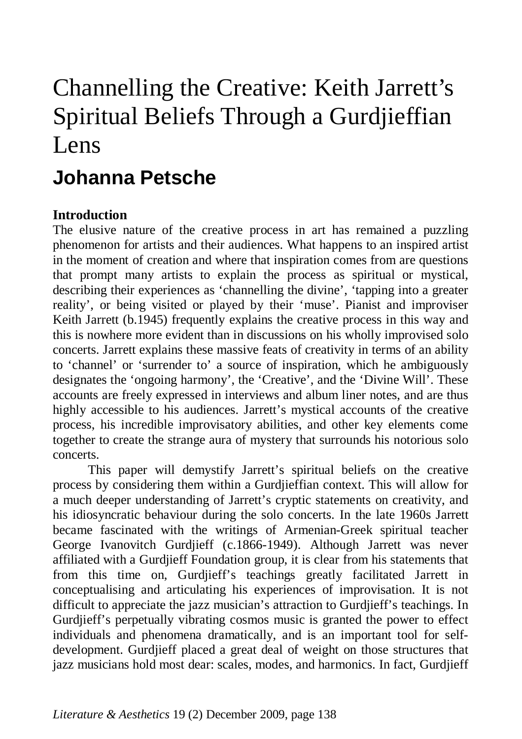# Channelling the Creative: Keith Jarrett's Spiritual Beliefs Through a Gurdjieffian Lens

# **Johanna Petsche**

# **Introduction**

The elusive nature of the creative process in art has remained a puzzling phenomenon for artists and their audiences. What happens to an inspired artist in the moment of creation and where that inspiration comes from are questions that prompt many artists to explain the process as spiritual or mystical, describing their experiences as 'channelling the divine', 'tapping into a greater reality', or being visited or played by their 'muse'. Pianist and improviser Keith Jarrett (b.1945) frequently explains the creative process in this way and this is nowhere more evident than in discussions on his wholly improvised solo concerts. Jarrett explains these massive feats of creativity in terms of an ability to 'channel' or 'surrender to' a source of inspiration, which he ambiguously designates the 'ongoing harmony', the 'Creative', and the 'Divine Will'. These accounts are freely expressed in interviews and album liner notes, and are thus highly accessible to his audiences. Jarrett's mystical accounts of the creative process, his incredible improvisatory abilities, and other key elements come together to create the strange aura of mystery that surrounds his notorious solo concerts.

This paper will demystify Jarrett's spiritual beliefs on the creative process by considering them within a Gurdjieffian context. This will allow for a much deeper understanding of Jarrett's cryptic statements on creativity, and his idiosyncratic behaviour during the solo concerts. In the late 1960s Jarrett became fascinated with the writings of Armenian-Greek spiritual teacher George Ivanovitch Gurdjieff (c.1866-1949). Although Jarrett was never affiliated with a Gurdjieff Foundation group, it is clear from his statements that from this time on, Gurdjieff's teachings greatly facilitated Jarrett in conceptualising and articulating his experiences of improvisation. It is not difficult to appreciate the jazz musician's attraction to Gurdjieff's teachings. In Gurdjieff's perpetually vibrating cosmos music is granted the power to effect individuals and phenomena dramatically, and is an important tool for selfdevelopment. Gurdjieff placed a great deal of weight on those structures that jazz musicians hold most dear: scales, modes, and harmonics. In fact, Gurdjieff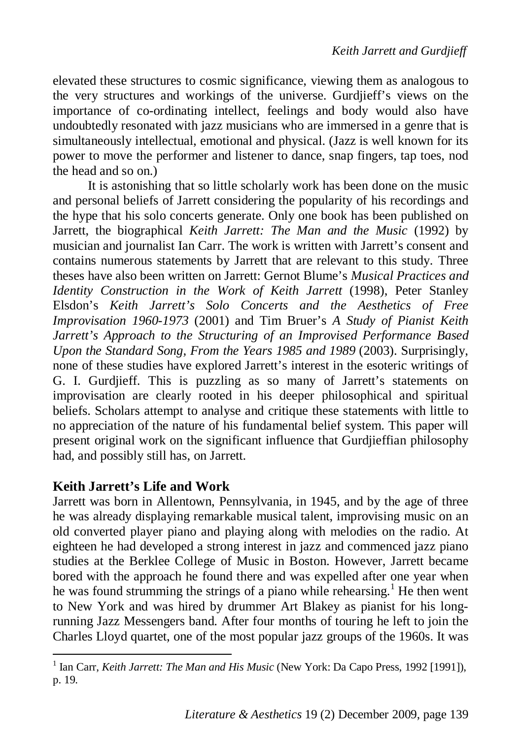elevated these structures to cosmic significance, viewing them as analogous to the very structures and workings of the universe. Gurdjieff's views on the importance of co-ordinating intellect, feelings and body would also have undoubtedly resonated with jazz musicians who are immersed in a genre that is simultaneously intellectual, emotional and physical. (Jazz is well known for its power to move the performer and listener to dance, snap fingers, tap toes, nod the head and so on.)

It is astonishing that so little scholarly work has been done on the music and personal beliefs of Jarrett considering the popularity of his recordings and the hype that his solo concerts generate. Only one book has been published on Jarrett, the biographical *Keith Jarrett: The Man and the Music* (1992) by musician and journalist Ian Carr. The work is written with Jarrett's consent and contains numerous statements by Jarrett that are relevant to this study. Three theses have also been written on Jarrett: Gernot Blume's *Musical Practices and Identity Construction in the Work of Keith Jarrett* (1998), Peter Stanley Elsdon's *Keith Jarrett's Solo Concerts and the Aesthetics of Free Improvisation 1960-1973* (2001) and Tim Bruer's *A Study of Pianist Keith Jarrett's Approach to the Structuring of an Improvised Performance Based Upon the Standard Song, From the Years 1985 and 1989* (2003). Surprisingly, none of these studies have explored Jarrett's interest in the esoteric writings of G. I. Gurdjieff. This is puzzling as so many of Jarrett's statements on improvisation are clearly rooted in his deeper philosophical and spiritual beliefs. Scholars attempt to analyse and critique these statements with little to no appreciation of the nature of his fundamental belief system. This paper will present original work on the significant influence that Gurdjieffian philosophy had, and possibly still has, on Jarrett.

# **Keith Jarrett's Life and Work**

Jarrett was born in Allentown, Pennsylvania, in 1945, and by the age of three he was already displaying remarkable musical talent, improvising music on an old converted player piano and playing along with melodies on the radio. At eighteen he had developed a strong interest in jazz and commenced jazz piano studies at the Berklee College of Music in Boston. However, Jarrett became bored with the approach he found there and was expelled after one year when he was found strumming the strings of a piano while rehearsing.<sup>1</sup> He then went to New York and was hired by drummer Art Blakey as pianist for his longrunning Jazz Messengers band. After four months of touring he left to join the Charles Lloyd quartet, one of the most popular jazz groups of the 1960s. It was

<sup>&</sup>lt;sup>1</sup> Ian Carr, *Keith Jarrett: The Man and His Music* (New York: Da Capo Press, 1992 [1991]), p. 19.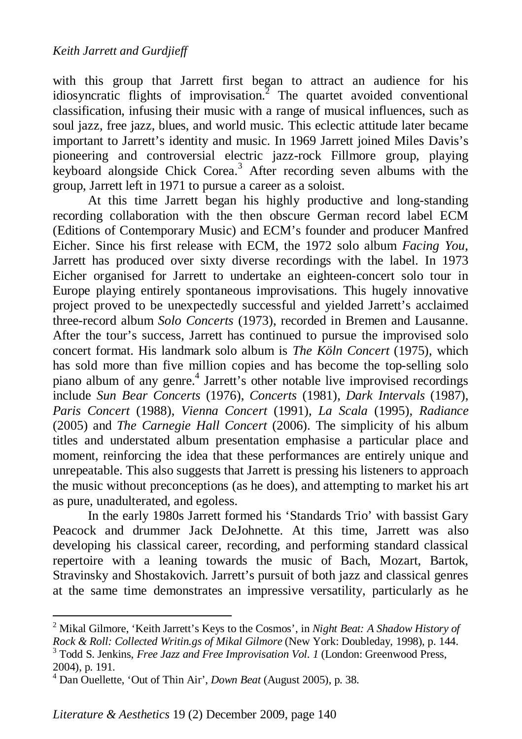with this group that Jarrett first began to attract an audience for his idiosyncratic flights of improvisation.<sup>2</sup> The quartet avoided conventional classification, infusing their music with a range of musical influences, such as soul jazz, free jazz, blues, and world music. This eclectic attitude later became important to Jarrett's identity and music. In 1969 Jarrett joined Miles Davis's pioneering and controversial electric jazz-rock Fillmore group, playing keyboard alongside Chick Corea.<sup>3</sup> After recording seven albums with the group, Jarrett left in 1971 to pursue a career as a soloist.

At this time Jarrett began his highly productive and long-standing recording collaboration with the then obscure German record label ECM (Editions of Contemporary Music) and ECM's founder and producer Manfred Eicher. Since his first release with ECM, the 1972 solo album *Facing You*, Jarrett has produced over sixty diverse recordings with the label. In 1973 Eicher organised for Jarrett to undertake an eighteen-concert solo tour in Europe playing entirely spontaneous improvisations. This hugely innovative project proved to be unexpectedly successful and yielded Jarrett's acclaimed three-record album *Solo Concerts* (1973), recorded in Bremen and Lausanne. After the tour's success, Jarrett has continued to pursue the improvised solo concert format. His landmark solo album is *The Köln Concert* (1975), which has sold more than five million copies and has become the top-selling solo piano album of any genre.<sup>4</sup> Jarrett's other notable live improvised recordings include *Sun Bear Concerts* (1976), *Concerts* (1981), *Dark Intervals* (1987), *Paris Concert* (1988), *Vienna Concert* (1991), *La Scala* (1995), *Radiance* (2005) and *The Carnegie Hall Concert* (2006). The simplicity of his album titles and understated album presentation emphasise a particular place and moment, reinforcing the idea that these performances are entirely unique and unrepeatable. This also suggests that Jarrett is pressing his listeners to approach the music without preconceptions (as he does), and attempting to market his art as pure, unadulterated, and egoless.

In the early 1980s Jarrett formed his 'Standards Trio' with bassist Gary Peacock and drummer Jack DeJohnette. At this time, Jarrett was also developing his classical career, recording, and performing standard classical repertoire with a leaning towards the music of Bach, Mozart, Bartok, Stravinsky and Shostakovich. Jarrett's pursuit of both jazz and classical genres at the same time demonstrates an impressive versatility, particularly as he

<sup>2</sup> Mikal Gilmore, 'Keith Jarrett's Keys to the Cosmos', in *Night Beat: A Shadow History of Rock & Roll: Collected Writin.gs of Mikal Gilmore* (New York: Doubleday, 1998), p. 144.

<sup>3</sup> Todd S. Jenkins, *Free Jazz and Free Improvisation Vol. 1* (London: Greenwood Press, 2004), p. 191.

<sup>4</sup> Dan Ouellette, 'Out of Thin Air', *Down Beat* (August 2005), p. 38.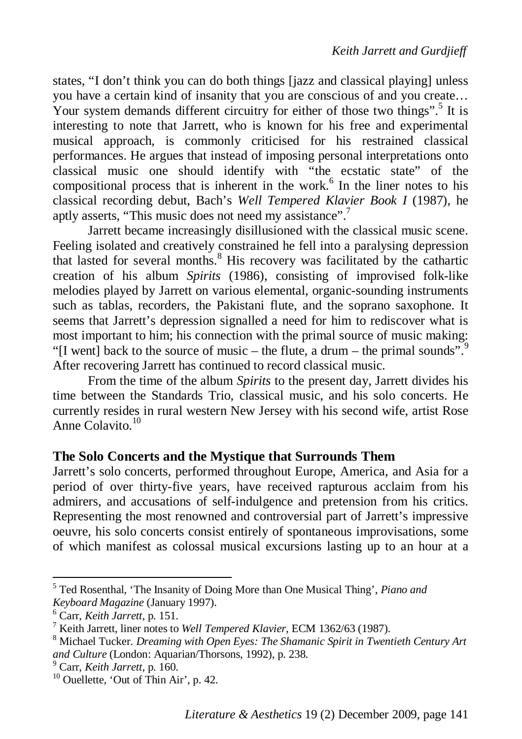states, "I don't think you can do both things [jazz and classical playing] unless you have a certain kind of insanity that you are conscious of and you create… Your system demands different circuitry for either of those two things".<sup>5</sup> It is interesting to note that Jarrett, who is known for his free and experimental musical approach, is commonly criticised for his restrained classical performances. He argues that instead of imposing personal interpretations onto classical music one should identify with "the ecstatic state" of the compositional process that is inherent in the work.<sup>6</sup> In the liner notes to his classical recording debut, Bach's *Well Tempered Klavier Book I* (1987), he aptly asserts, "This music does not need my assistance".<sup>7</sup>

Jarrett became increasingly disillusioned with the classical music scene. Feeling isolated and creatively constrained he fell into a paralysing depression that lasted for several months.<sup>8</sup> His recovery was facilitated by the cathartic creation of his album *Spirits* (1986), consisting of improvised folk-like melodies played by Jarrett on various elemental, organic-sounding instruments such as tablas, recorders, the Pakistani flute, and the soprano saxophone. It seems that Jarrett's depression signalled a need for him to rediscover what is most important to him; his connection with the primal source of music making: "[I went] back to the source of music – the flute, a drum – the primal sounds".<sup>9</sup> After recovering Jarrett has continued to record classical music.

From the time of the album *Spirits* to the present day, Jarrett divides his time between the Standards Trio, classical music, and his solo concerts. He currently resides in rural western New Jersey with his second wife, artist Rose Anne Colavito.<sup>10</sup>

# **The Solo Concerts and the Mystique that Surrounds Them**

Jarrett's solo concerts, performed throughout Europe, America, and Asia for a period of over thirty-five years, have received rapturous acclaim from his admirers, and accusations of self-indulgence and pretension from his critics. Representing the most renowned and controversial part of Jarrett's impressive oeuvre, his solo concerts consist entirely of spontaneous improvisations, some of which manifest as colossal musical excursions lasting up to an hour at a

<sup>&</sup>lt;sup>5</sup> Ted Rosenthal, 'The Insanity of Doing More than One Musical Thing', *Piano and Keyboard Magazine* (January 1997).

<sup>6</sup> Carr, *Keith Jarrett,* p. 151.

<sup>7</sup> Keith Jarrett, liner notes to *Well Tempered Klavier*, ECM 1362/63 (1987).

<sup>8</sup> Michael Tucker. *Dreaming with Open Eyes: The Shamanic Spirit in Twentieth Century Art and Culture* (London: Aquarian/Thorsons, 1992), p. 238.

<sup>9</sup> Carr, *Keith Jarrett,* p. 160.

 $10$  Ouellette, 'Out of Thin Air', p. 42.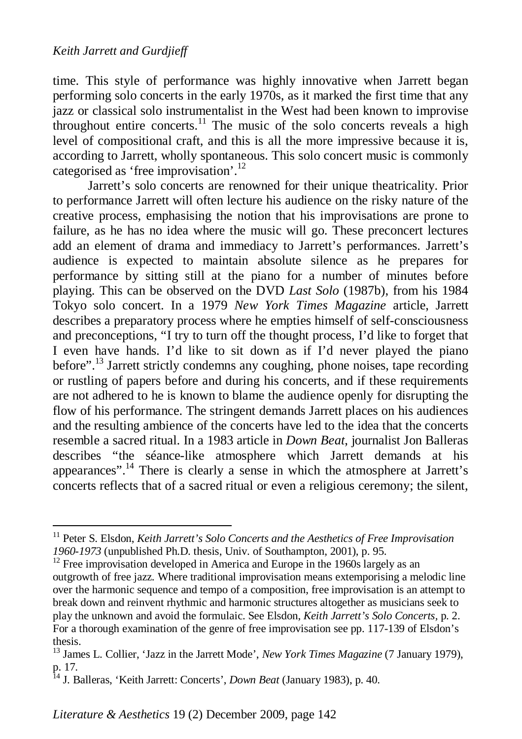time. This style of performance was highly innovative when Jarrett began performing solo concerts in the early 1970s, as it marked the first time that any jazz or classical solo instrumentalist in the West had been known to improvise throughout entire concerts.<sup>11</sup> The music of the solo concerts reveals a high level of compositional craft, and this is all the more impressive because it is, according to Jarrett, wholly spontaneous. This solo concert music is commonly categorised as 'free improvisation'.<sup>12</sup>

Jarrett's solo concerts are renowned for their unique theatricality. Prior to performance Jarrett will often lecture his audience on the risky nature of the creative process, emphasising the notion that his improvisations are prone to failure, as he has no idea where the music will go. These preconcert lectures add an element of drama and immediacy to Jarrett's performances. Jarrett's audience is expected to maintain absolute silence as he prepares for performance by sitting still at the piano for a number of minutes before playing. This can be observed on the DVD *Last Solo* (1987b), from his 1984 Tokyo solo concert. In a 1979 *New York Times Magazine* article, Jarrett describes a preparatory process where he empties himself of self-consciousness and preconceptions, "I try to turn off the thought process, I'd like to forget that I even have hands. I'd like to sit down as if I'd never played the piano before".<sup>13</sup> Jarrett strictly condemns any coughing, phone noises, tape recording or rustling of papers before and during his concerts, and if these requirements are not adhered to he is known to blame the audience openly for disrupting the flow of his performance. The stringent demands Jarrett places on his audiences and the resulting ambience of the concerts have led to the idea that the concerts resemble a sacred ritual. In a 1983 article in *Down Beat*, journalist Jon Balleras describes "the séance-like atmosphere which Jarrett demands at his appearances".<sup>14</sup> There is clearly a sense in which the atmosphere at Jarrett's concerts reflects that of a sacred ritual or even a religious ceremony; the silent,

 $12$  Free improvisation developed in America and Europe in the 1960s largely as an outgrowth of free jazz. Where traditional improvisation means extemporising a melodic line over the harmonic sequence and tempo of a composition, free improvisation is an attempt to break down and reinvent rhythmic and harmonic structures altogether as musicians seek to play the unknown and avoid the formulaic. See Elsdon, *Keith Jarrett's Solo Concerts,* p. 2. For a thorough examination of the genre of free improvisation see pp. 117-139 of Elsdon's thesis.

<sup>&</sup>lt;sup>11</sup> Peter S. Elsdon, *Keith Jarrett's Solo Concerts and the Aesthetics of Free Improvisation 1960-1973* (unpublished Ph.D. thesis, Univ. of Southampton, 2001), p. 95.

<sup>&</sup>lt;sup>13</sup> James L. Collier, 'Jazz in the Jarrett Mode', *New York Times Magazine* (7 January 1979), p. 17.

<sup>14</sup> J. Balleras, 'Keith Jarrett: Concerts', *Down Beat* (January 1983), p. 40.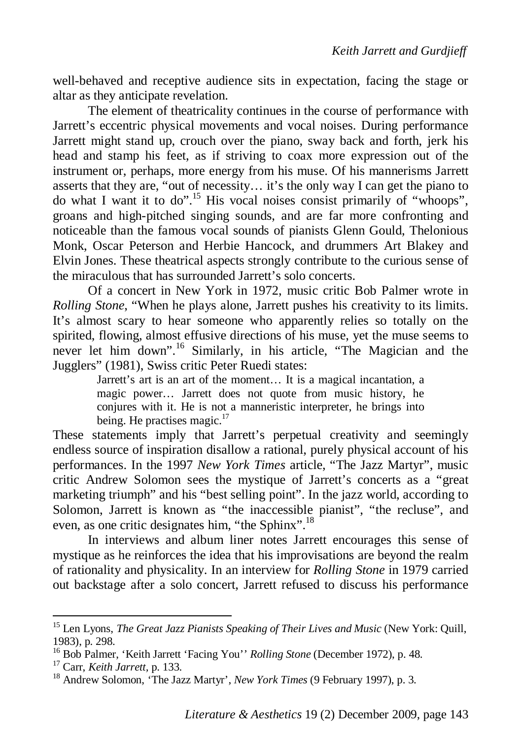well-behaved and receptive audience sits in expectation, facing the stage or altar as they anticipate revelation.

The element of theatricality continues in the course of performance with Jarrett's eccentric physical movements and vocal noises. During performance Jarrett might stand up, crouch over the piano, sway back and forth, jerk his head and stamp his feet, as if striving to coax more expression out of the instrument or, perhaps, more energy from his muse. Of his mannerisms Jarrett asserts that they are, "out of necessity… it's the only way I can get the piano to do what I want it to do".<sup>15</sup> His vocal noises consist primarily of "whoops", groans and high-pitched singing sounds, and are far more confronting and noticeable than the famous vocal sounds of pianists Glenn Gould, Thelonious Monk, Oscar Peterson and Herbie Hancock, and drummers Art Blakey and Elvin Jones. These theatrical aspects strongly contribute to the curious sense of the miraculous that has surrounded Jarrett's solo concerts.

Of a concert in New York in 1972, music critic Bob Palmer wrote in *Rolling Stone*, "When he plays alone, Jarrett pushes his creativity to its limits. It's almost scary to hear someone who apparently relies so totally on the spirited, flowing, almost effusive directions of his muse, yet the muse seems to never let him down".<sup>16</sup> Similarly, in his article, "The Magician and the Jugglers" (1981), Swiss critic Peter Ruedi states:

Jarrett's art is an art of the moment… It is a magical incantation, a magic power… Jarrett does not quote from music history, he conjures with it. He is not a manneristic interpreter, he brings into being. He practises magic. $17$ 

These statements imply that Jarrett's perpetual creativity and seemingly endless source of inspiration disallow a rational, purely physical account of his performances. In the 1997 *New York Times* article, "The Jazz Martyr", music critic Andrew Solomon sees the mystique of Jarrett's concerts as a "great marketing triumph" and his "best selling point". In the jazz world, according to Solomon, Jarrett is known as "the inaccessible pianist", "the recluse", and even, as one critic designates him, "the Sphinx".<sup>18</sup>

In interviews and album liner notes Jarrett encourages this sense of mystique as he reinforces the idea that his improvisations are beyond the realm of rationality and physicality. In an interview for *Rolling Stone* in 1979 carried out backstage after a solo concert, Jarrett refused to discuss his performance

<sup>&</sup>lt;sup>15</sup> Len Lyons, *The Great Jazz Pianists Speaking of Their Lives and Music* (New York: Quill, 1983), p. 298.

<sup>16</sup> Bob Palmer, 'Keith Jarrett 'Facing You'' *Rolling Stone* (December 1972), p. 48.

<sup>17</sup> Carr, *Keith Jarrett,* p. 133.

<sup>18</sup> Andrew Solomon, 'The Jazz Martyr', *New York Times* (9 February 1997), p. 3.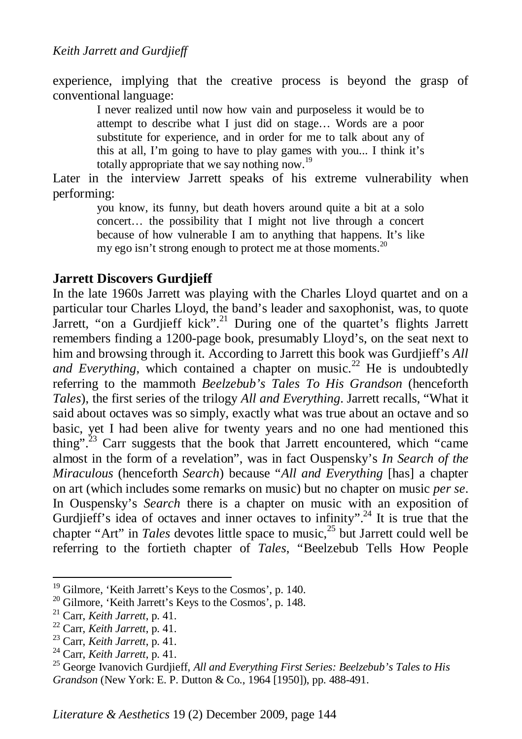experience, implying that the creative process is beyond the grasp of conventional language:

> I never realized until now how vain and purposeless it would be to attempt to describe what I just did on stage… Words are a poor substitute for experience, and in order for me to talk about any of this at all, I'm going to have to play games with you... I think it's totally appropriate that we say nothing now.<sup>19</sup>

Later in the interview Jarrett speaks of his extreme vulnerability when performing:

> you know, its funny, but death hovers around quite a bit at a solo concert… the possibility that I might not live through a concert because of how vulnerable I am to anything that happens. It's like my ego isn't strong enough to protect me at those moments.<sup>20</sup>

# **Jarrett Discovers Gurdjieff**

In the late 1960s Jarrett was playing with the Charles Lloyd quartet and on a particular tour Charles Lloyd, the band's leader and saxophonist, was, to quote Jarrett, "on a Gurdjieff kick".<sup>21</sup> During one of the quartet's flights Jarrett remembers finding a 1200-page book, presumably Lloyd's, on the seat next to him and browsing through it. According to Jarrett this book was Gurdjieff's *All and Everything*, which contained a chapter on music.<sup>22</sup> He is undoubtedly referring to the mammoth *Beelzebub's Tales To His Grandson* (henceforth *Tales*), the first series of the trilogy *All and Everything*. Jarrett recalls, "What it said about octaves was so simply, exactly what was true about an octave and so basic, yet I had been alive for twenty years and no one had mentioned this thing".<sup>23</sup> Carr suggests that the book that Jarrett encountered, which "came" almost in the form of a revelation", was in fact Ouspensky's *In Search of the Miraculous* (henceforth *Search*) because "*All and Everything* [has] a chapter on art (which includes some remarks on music) but no chapter on music *per se*. In Ouspensky's *Search* there is a chapter on music with an exposition of Gurdjieff's idea of octaves and inner octaves to infinity".<sup>24</sup> It is true that the chapter "Art" in *Tales* devotes little space to music.<sup>25</sup> but Jarrett could well be referring to the fortieth chapter of *Tales*, "Beelzebub Tells How People

<sup>&</sup>lt;sup>19</sup> Gilmore, 'Keith Jarrett's Keys to the Cosmos', p. 140.

 $20$  Gilmore, 'Keith Jarrett's Keys to the Cosmos', p. 148.

<sup>21</sup> Carr, *Keith Jarrett*, p. 41.

<sup>22</sup> Carr, *Keith Jarrett*, p. 41.

<sup>23</sup> Carr, *Keith Jarrett*, p. 41.

<sup>24</sup> Carr, *Keith Jarrett*, p. 41.

<sup>25</sup> George Ivanovich Gurdjieff, *All and Everything First Series: Beelzebub's Tales to His Grandson* (New York: E. P. Dutton & Co., 1964 [1950]), pp. 488-491.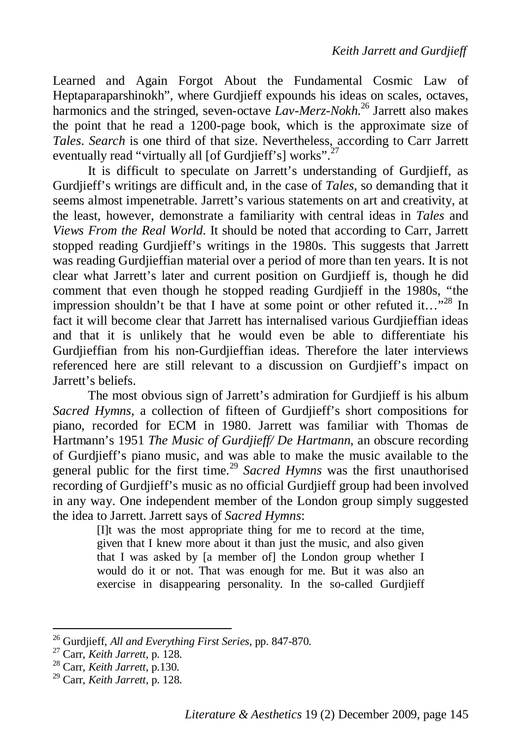Learned and Again Forgot About the Fundamental Cosmic Law of Heptaparaparshinokh", where Gurdijeff expounds his ideas on scales, octaves, harmonics and the stringed, seven-octave *Lav-Merz-Nokh*. <sup>26</sup> Jarrett also makes the point that he read a 1200-page book, which is the approximate size of *Tales*. *Search* is one third of that size. Nevertheless, according to Carr Jarrett eventually read "virtually all [of Gurdjieff's] works".<sup>27</sup>

It is difficult to speculate on Jarrett's understanding of Gurdjieff, as Gurdjieff's writings are difficult and, in the case of *Tales*, so demanding that it seems almost impenetrable. Jarrett's various statements on art and creativity, at the least, however, demonstrate a familiarity with central ideas in *Tales* and *Views From the Real World*. It should be noted that according to Carr, Jarrett stopped reading Gurdjieff's writings in the 1980s. This suggests that Jarrett was reading Gurdijeffian material over a period of more than ten years. It is not clear what Jarrett's later and current position on Gurdjieff is, though he did comment that even though he stopped reading Gurdjieff in the 1980s, "the impression shouldn't be that I have at some point or other refuted it…"<sup>28</sup> In fact it will become clear that Jarrett has internalised various Gurdjieffian ideas and that it is unlikely that he would even be able to differentiate his Gurdjieffian from his non-Gurdjieffian ideas. Therefore the later interviews referenced here are still relevant to a discussion on Gurdjieff's impact on Jarrett's beliefs.

The most obvious sign of Jarrett's admiration for Gurdjieff is his album *Sacred Hymns*, a collection of fifteen of Gurdjieff's short compositions for piano, recorded for ECM in 1980. Jarrett was familiar with Thomas de Hartmann's 1951 *The Music of Gurdjieff/ De Hartmann*, an obscure recording of Gurdjieff's piano music, and was able to make the music available to the general public for the first time.<sup>29</sup> *Sacred Hymns* was the first unauthorised recording of Gurdjieff's music as no official Gurdjieff group had been involved in any way. One independent member of the London group simply suggested the idea to Jarrett. Jarrett says of *Sacred Hymns*:

> [I]t was the most appropriate thing for me to record at the time, given that I knew more about it than just the music, and also given that I was asked by [a member of] the London group whether I would do it or not. That was enough for me. But it was also an exercise in disappearing personality. In the so-called Gurdjieff

<sup>26</sup> Gurdjieff, *All and Everything First Series*, pp. 847-870.

<sup>27</sup> Carr, *Keith Jarrett*, p. 128.

<sup>28</sup> Carr, *Keith Jarrett*, p.130.

<sup>29</sup> Carr, *Keith Jarrett*, p. 128.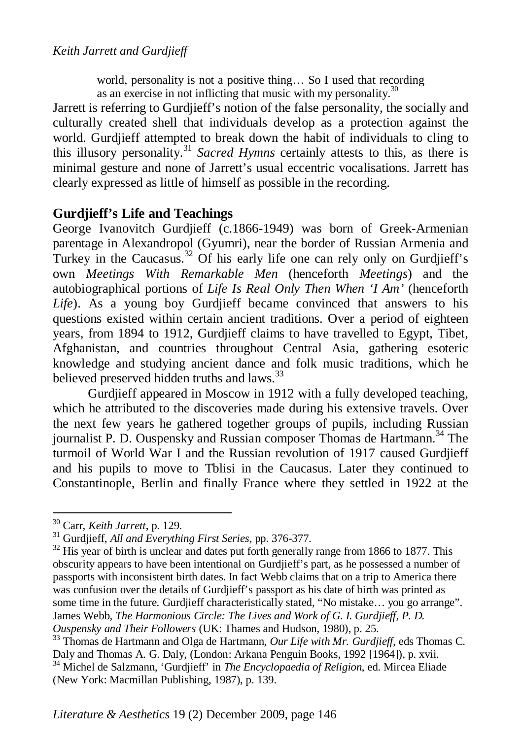world, personality is not a positive thing... So I used that recording as an exercise in not inflicting that music with my personality. $30$ 

Jarrett is referring to Gurdjieff's notion of the false personality, the socially and culturally created shell that individuals develop as a protection against the world. Gurdjieff attempted to break down the habit of individuals to cling to this illusory personality.<sup>31</sup> *Sacred Hymns* certainly attests to this, as there is minimal gesture and none of Jarrett's usual eccentric vocalisations. Jarrett has clearly expressed as little of himself as possible in the recording.

# **Gurdjieff's Life and Teachings**

George Ivanovitch Gurdjieff (c.1866-1949) was born of Greek-Armenian parentage in Alexandropol (Gyumri), near the border of Russian Armenia and Turkey in the Caucasus.<sup>32</sup> Of his early life one can rely only on Gurdjieff's own *Meetings With Remarkable Men* (henceforth *Meetings*) and the autobiographical portions of *Life Is Real Only Then When 'I Am'* (henceforth *Life*). As a young boy Gurdjieff became convinced that answers to his questions existed within certain ancient traditions. Over a period of eighteen years, from 1894 to 1912, Gurdjieff claims to have travelled to Egypt, Tibet, Afghanistan, and countries throughout Central Asia, gathering esoteric knowledge and studying ancient dance and folk music traditions, which he believed preserved hidden truths and laws.<sup>33</sup>

Gurdjieff appeared in Moscow in 1912 with a fully developed teaching, which he attributed to the discoveries made during his extensive travels. Over the next few years he gathered together groups of pupils, including Russian journalist P. D. Ouspensky and Russian composer Thomas de Hartmann.<sup>34</sup> The turmoil of World War I and the Russian revolution of 1917 caused Gurdjieff and his pupils to move to Tblisi in the Caucasus. Later they continued to Constantinople, Berlin and finally France where they settled in 1922 at the

<sup>30</sup> Carr, *Keith Jarrett*, p. 129.

<sup>31</sup> Gurdjieff, *All and Everything First Series*, pp. 376-377.

 $32$  His year of birth is unclear and dates put forth generally range from 1866 to 1877. This obscurity appears to have been intentional on Gurdjieff's part, as he possessed a number of passports with inconsistent birth dates. In fact Webb claims that on a trip to America there was confusion over the details of Gurdjieff's passport as his date of birth was printed as some time in the future. Gurdjieff characteristically stated, "No mistake… you go arrange". James Webb, *The Harmonious Circle: The Lives and Work of G. I. Gurdjieff, P. D. Ouspensky and Their Followers* (UK: Thames and Hudson, 1980), p. 25.

<sup>33</sup> Thomas de Hartmann and Olga de Hartmann, *Our Life with Mr. Gurdjieff*, eds Thomas C. Daly and Thomas A. G. Daly, (London: Arkana Penguin Books, 1992 [1964]), p. xvii.

<sup>34</sup> Michel de Salzmann, 'Gurdjieff' in *The Encyclopaedia of Religion*, ed. Mircea Eliade (New York: Macmillan Publishing, 1987), p. 139.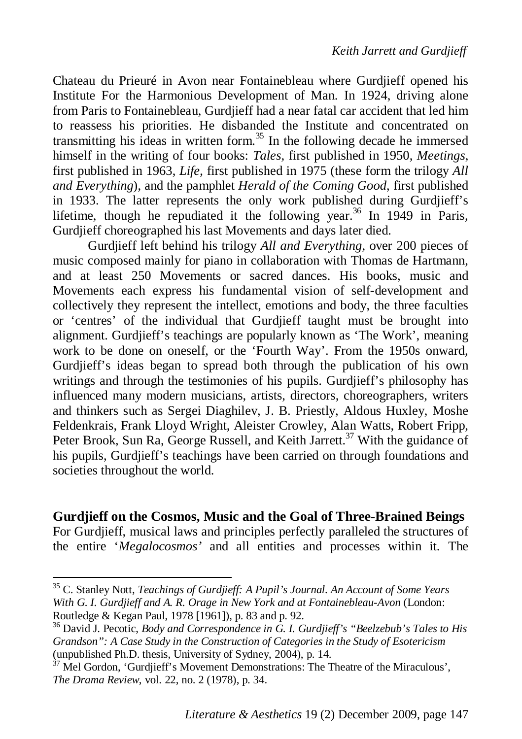Chateau du Prieuré in Avon near Fontainebleau where Gurdjieff opened his Institute For the Harmonious Development of Man. In 1924, driving alone from Paris to Fontainebleau, Gurdjieff had a near fatal car accident that led him to reassess his priorities. He disbanded the Institute and concentrated on transmitting his ideas in written form.<sup>35</sup> In the following decade he immersed himself in the writing of four books: *Tales,* first published in 1950, *Meetings*, first published in 1963, *Life*, first published in 1975 (these form the trilogy *All and Everything*), and the pamphlet *Herald of the Coming Good*, first published in 1933. The latter represents the only work published during Gurdjieff's lifetime, though he repudiated it the following year.<sup>36</sup> In 1949 in Paris, Gurdijeff choreographed his last Movements and days later died.

Gurdjieff left behind his trilogy *All and Everything*, over 200 pieces of music composed mainly for piano in collaboration with Thomas de Hartmann, and at least 250 Movements or sacred dances. His books, music and Movements each express his fundamental vision of self-development and collectively they represent the intellect, emotions and body, the three faculties or 'centres' of the individual that Gurdjieff taught must be brought into alignment. Gurdjieff's teachings are popularly known as 'The Work', meaning work to be done on oneself, or the 'Fourth Way'. From the 1950s onward, Gurdijeff's ideas began to spread both through the publication of his own writings and through the testimonies of his pupils. Gurdieff's philosophy has influenced many modern musicians, artists, directors, choreographers, writers and thinkers such as Sergei Diaghilev, J. B. Priestly, Aldous Huxley, Moshe Feldenkrais, Frank Lloyd Wright, Aleister Crowley, Alan Watts, Robert Fripp, Peter Brook, Sun Ra, George Russell, and Keith Jarrett.<sup>37</sup> With the guidance of his pupils, Gurdjieff's teachings have been carried on through foundations and societies throughout the world.

#### **Gurdjieff on the Cosmos, Music and the Goal of Three-Brained Beings**

For Gurdjieff, musical laws and principles perfectly paralleled the structures of the entire '*Megalocosmos'* and all entities and processes within it. The

<sup>35</sup> C. Stanley Nott, *Teachings of Gurdjieff: A Pupil's Journal. An Account of Some Years With G. I. Gurdjieff and A. R. Orage in New York and at Fontainebleau-Avon* (London: Routledge & Kegan Paul, 1978 [1961]), p. 83 and p. 92.

<sup>36</sup> David J. Pecotic, *Body and Correspondence in G. I. Gurdjieff's "Beelzebub's Tales to His Grandson": A Case Study in the Construction of Categories in the Study of Esotericism* (unpublished Ph.D. thesis, University of Sydney, 2004), p. 14.

<sup>&</sup>lt;sup>37</sup> Mel Gordon, 'Gurdjieff's Movement Demonstrations: The Theatre of the Miraculous', *The Drama Review*, vol. 22, no. 2 (1978), p. 34.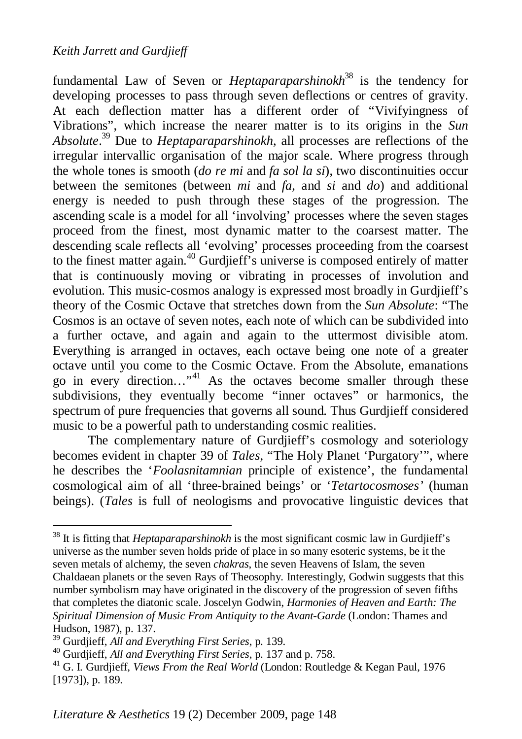fundamental Law of Seven or *Heptaparaparshinokh*<sup>38</sup> is the tendency for developing processes to pass through seven deflections or centres of gravity. At each deflection matter has a different order of "Vivifyingness of Vibrations", which increase the nearer matter is to its origins in the *Sun Absolute*. <sup>39</sup> Due to *Heptaparaparshinokh*, all processes are reflections of the irregular intervallic organisation of the major scale. Where progress through the whole tones is smooth (*do re mi* and *fa sol la si*), two discontinuities occur between the semitones (between *mi* and *fa*, and *si* and *do*) and additional energy is needed to push through these stages of the progression. The ascending scale is a model for all 'involving' processes where the seven stages proceed from the finest, most dynamic matter to the coarsest matter. The descending scale reflects all 'evolving' processes proceeding from the coarsest to the finest matter again.<sup>40</sup> Gurdjieff's universe is composed entirely of matter that is continuously moving or vibrating in processes of involution and evolution. This music-cosmos analogy is expressed most broadly in Gurdjieff's theory of the Cosmic Octave that stretches down from the *Sun Absolute*: "The Cosmos is an octave of seven notes, each note of which can be subdivided into a further octave, and again and again to the uttermost divisible atom. Everything is arranged in octaves, each octave being one note of a greater octave until you come to the Cosmic Octave. From the Absolute, emanations go in every direction..."<sup>41</sup> As the octaves become smaller through these subdivisions, they eventually become "inner octaves" or harmonics, the spectrum of pure frequencies that governs all sound. Thus Gurdjieff considered music to be a powerful path to understanding cosmic realities.

The complementary nature of Gurdjieff's cosmology and soteriology becomes evident in chapter 39 of *Tales*, "The Holy Planet 'Purgatory'", where he describes the '*Foolasnitamnian* principle of existence', the fundamental cosmological aim of all 'three-brained beings' or '*Tetartocosmoses'* (human beings). (*Tales* is full of neologisms and provocative linguistic devices that

<sup>38</sup> It is fitting that *Heptaparaparshinokh* is the most significant cosmic law in Gurdjieff's universe as the number seven holds pride of place in so many esoteric systems, be it the seven metals of alchemy, the seven *chakras*, the seven Heavens of Islam, the seven Chaldaean planets or the seven Rays of Theosophy. Interestingly, Godwin suggests that this number symbolism may have originated in the discovery of the progression of seven fifths that completes the diatonic scale. Joscelyn Godwin, *Harmonies of Heaven and Earth: The Spiritual Dimension of Music From Antiquity to the Avant-Garde* (London: Thames and Hudson, 1987), p. 137.

<sup>39</sup> Gurdjieff, *All and Everything First Series*, p. 139.

<sup>40</sup> Gurdjieff, *All and Everything First Series*, p. 137 and p. 758.

<sup>&</sup>lt;sup>41</sup> G. I. Gurdjieff, *Views From the Real World* (London: Routledge & Kegan Paul, 1976 [1973]), p. 189.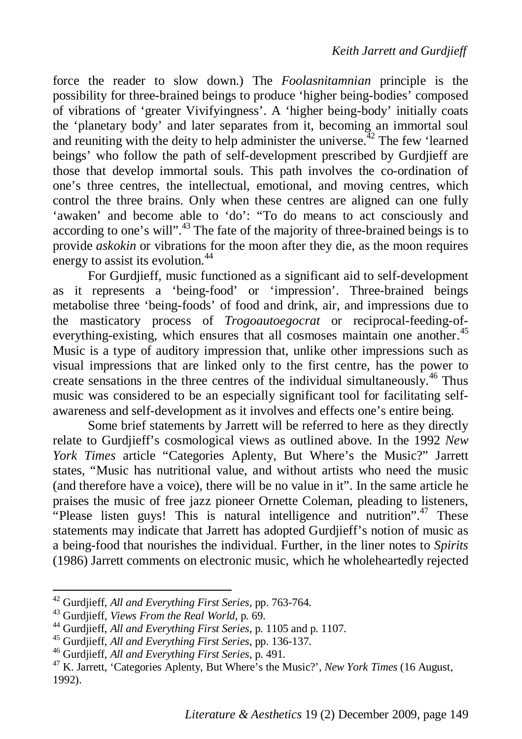force the reader to slow down.) The *Foolasnitamnian* principle is the possibility for three-brained beings to produce 'higher being-bodies' composed of vibrations of 'greater Vivifyingness'. A 'higher being-body' initially coats the 'planetary body' and later separates from it, becoming an immortal soul and reuniting with the deity to help administer the universe.<sup>42</sup> The few 'learned beings' who follow the path of self-development prescribed by Gurdjieff are those that develop immortal souls. This path involves the co-ordination of one's three centres, the intellectual, emotional, and moving centres, which control the three brains. Only when these centres are aligned can one fully 'awaken' and become able to 'do': "To do means to act consciously and according to one's will".<sup>43</sup> The fate of the majority of three-brained beings is to provide *askokin* or vibrations for the moon after they die, as the moon requires energy to assist its evolution.<sup>44</sup>

For Gurdjieff, music functioned as a significant aid to self-development as it represents a 'being-food' or 'impression'. Three-brained beings metabolise three 'being-foods' of food and drink, air, and impressions due to the masticatory process of *Trogoautoegocrat* or reciprocal-feeding-ofeverything-existing, which ensures that all cosmoses maintain one another.<sup>45</sup> Music is a type of auditory impression that, unlike other impressions such as visual impressions that are linked only to the first centre, has the power to create sensations in the three centres of the individual simultaneously.<sup>46</sup> Thus music was considered to be an especially significant tool for facilitating selfawareness and self-development as it involves and effects one's entire being.

Some brief statements by Jarrett will be referred to here as they directly relate to Gurdjieff's cosmological views as outlined above. In the 1992 *New York Times* article "Categories Aplenty, But Where's the Music?" Jarrett states, "Music has nutritional value, and without artists who need the music (and therefore have a voice), there will be no value in it". In the same article he praises the music of free jazz pioneer Ornette Coleman, pleading to listeners, "Please listen guys! This is natural intelligence and nutrition".<sup>47</sup> These statements may indicate that Jarrett has adopted Gurdjieff's notion of music as a being-food that nourishes the individual. Further, in the liner notes to *Spirits* (1986) Jarrett comments on electronic music, which he wholeheartedly rejected

<sup>42</sup> Gurdjieff, *All and Everything First Series*, pp. 763-764.

<sup>43</sup> Gurdjieff, *Views From the Real World*, p. 69.

<sup>44</sup> Gurdjieff, *All and Everything First Series*, p. 1105 and p. 1107.

<sup>45</sup> Gurdjieff, *All and Everything First Series*, pp. 136-137.

<sup>46</sup> Gurdjieff, *All and Everything First Series*, p. 491.

<sup>47</sup> K. Jarrett, 'Categories Aplenty, But Where's the Music?', *New York Times* (16 August, 1992).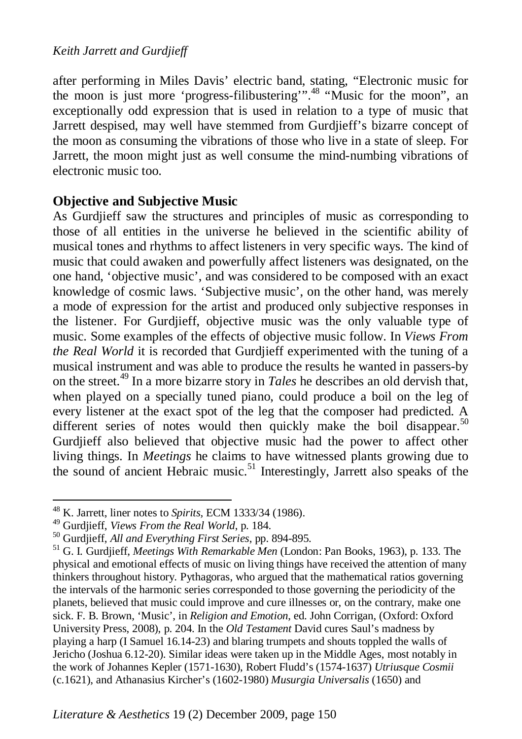after performing in Miles Davis' electric band, stating, "Electronic music for the moon is just more 'progress-filibustering'".<sup>48</sup> "Music for the moon", an exceptionally odd expression that is used in relation to a type of music that Jarrett despised, may well have stemmed from Gurdjieff's bizarre concept of the moon as consuming the vibrations of those who live in a state of sleep. For Jarrett, the moon might just as well consume the mind-numbing vibrations of electronic music too.

# **Objective and Subjective Music**

As Gurdjieff saw the structures and principles of music as corresponding to those of all entities in the universe he believed in the scientific ability of musical tones and rhythms to affect listeners in very specific ways. The kind of music that could awaken and powerfully affect listeners was designated, on the one hand, 'objective music', and was considered to be composed with an exact knowledge of cosmic laws. 'Subjective music', on the other hand, was merely a mode of expression for the artist and produced only subjective responses in the listener. For Gurdjieff, objective music was the only valuable type of music. Some examples of the effects of objective music follow. In *Views From the Real World* it is recorded that Gurdjieff experimented with the tuning of a musical instrument and was able to produce the results he wanted in passers-by on the street.<sup>49</sup> In a more bizarre story in *Tales* he describes an old dervish that, when played on a specially tuned piano, could produce a boil on the leg of every listener at the exact spot of the leg that the composer had predicted. A different series of notes would then quickly make the boil disappear.<sup>50</sup> Gurdjieff also believed that objective music had the power to affect other living things. In *Meetings* he claims to have witnessed plants growing due to the sound of ancient Hebraic music.<sup>51</sup> Interestingly, Jarrett also speaks of the

<sup>48</sup> K. Jarrett, liner notes to *Spirits,* ECM 1333/34 (1986).

<sup>49</sup> Gurdjieff, *Views From the Real World*, p. 184.

<sup>50</sup> Gurdjieff, *All and Everything First Series*, pp. 894-895.

<sup>51</sup> G. I. Gurdjieff, *Meetings With Remarkable Men* (London: Pan Books, 1963), p. 133. The physical and emotional effects of music on living things have received the attention of many thinkers throughout history. Pythagoras, who argued that the mathematical ratios governing the intervals of the harmonic series corresponded to those governing the periodicity of the planets, believed that music could improve and cure illnesses or, on the contrary, make one sick. F. B. Brown, 'Music', in *Religion and Emotion*, ed. John Corrigan, (Oxford: Oxford University Press, 2008), p. 204. In the *Old Testament* David cures Saul's madness by playing a harp (I Samuel 16.14-23) and blaring trumpets and shouts toppled the walls of Jericho (Joshua 6.12-20). Similar ideas were taken up in the Middle Ages, most notably in the work of Johannes Kepler (1571-1630), Robert Fludd's (1574-1637) *Utriusque Cosmii* (c.1621), and Athanasius Kircher's (1602-1980) *Musurgia Universalis* (1650) and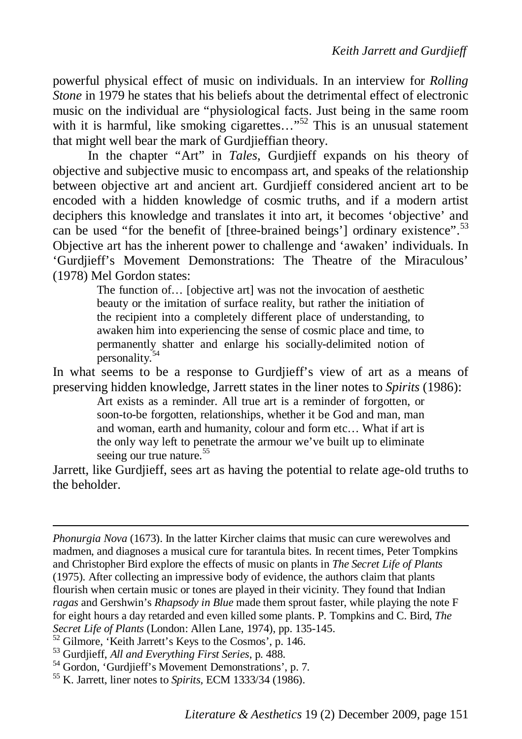powerful physical effect of music on individuals. In an interview for *Rolling Stone* in 1979 he states that his beliefs about the detrimental effect of electronic music on the individual are "physiological facts. Just being in the same room with it is harmful, like smoking cigarettes..."<sup>52</sup> This is an unusual statement that might well bear the mark of Gurdjieffian theory.

In the chapter "Art" in *Tales*, Gurdjieff expands on his theory of objective and subjective music to encompass art, and speaks of the relationship between objective art and ancient art. Gurdjieff considered ancient art to be encoded with a hidden knowledge of cosmic truths, and if a modern artist deciphers this knowledge and translates it into art, it becomes 'objective' and can be used "for the benefit of [three-brained beings'] ordinary existence".<sup>53</sup> Objective art has the inherent power to challenge and 'awaken' individuals. In 'Gurdjieff's Movement Demonstrations: The Theatre of the Miraculous' (1978) Mel Gordon states:

> The function of… [objective art] was not the invocation of aesthetic beauty or the imitation of surface reality, but rather the initiation of the recipient into a completely different place of understanding, to awaken him into experiencing the sense of cosmic place and time, to permanently shatter and enlarge his socially-delimited notion of personality.<sup>5</sup>

In what seems to be a response to Gurdjieff's view of art as a means of preserving hidden knowledge, Jarrett states in the liner notes to *Spirits* (1986):

Art exists as a reminder. All true art is a reminder of forgotten, or soon-to-be forgotten, relationships, whether it be God and man, man and woman, earth and humanity, colour and form etc… What if art is the only way left to penetrate the armour we've built up to eliminate seeing our true nature. $55$ 

Jarrett, like Gurdjieff, sees art as having the potential to relate age-old truths to the beholder.

*Phonurgia Nova* (1673). In the latter Kircher claims that music can cure werewolves and madmen, and diagnoses a musical cure for tarantula bites. In recent times, Peter Tompkins and Christopher Bird explore the effects of music on plants in *The Secret Life of Plants* (1975). After collecting an impressive body of evidence, the authors claim that plants flourish when certain music or tones are played in their vicinity. They found that Indian *ragas* and Gershwin's *Rhapsody in Blue* made them sprout faster, while playing the note F for eight hours a day retarded and even killed some plants. P. Tompkins and C. Bird, *The Secret Life of Plants* (London: Allen Lane, 1974), pp. 135-145.

<sup>52</sup> Gilmore, 'Keith Jarrett's Keys to the Cosmos', p. 146.

<sup>53</sup> Gurdjieff, *All and Everything First Series*, p. 488.

<sup>54</sup> Gordon, 'Gurdjieff's Movement Demonstrations', p. 7.

<sup>55</sup> K. Jarrett, liner notes to *Spirits,* ECM 1333/34 (1986).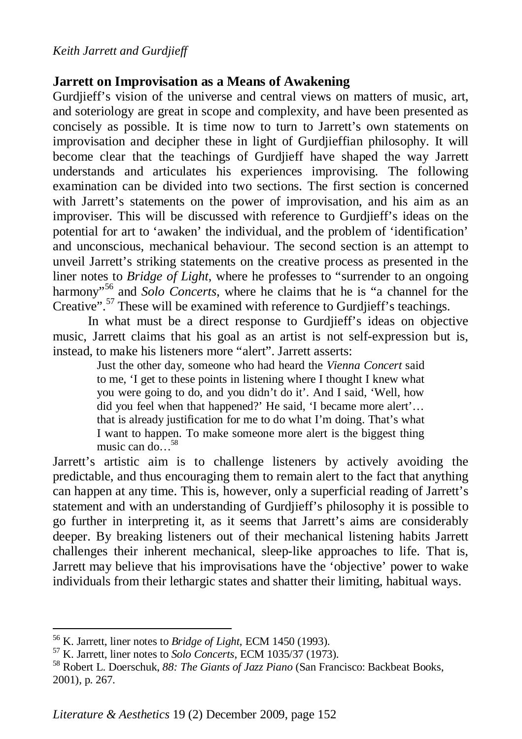#### *Keith Jarrett and Gurdjieff*

# **Jarrett on Improvisation as a Means of Awakening**

Gurdjieff's vision of the universe and central views on matters of music, art, and soteriology are great in scope and complexity, and have been presented as concisely as possible. It is time now to turn to Jarrett's own statements on improvisation and decipher these in light of Gurdjieffian philosophy. It will become clear that the teachings of Gurdjieff have shaped the way Jarrett understands and articulates his experiences improvising. The following examination can be divided into two sections. The first section is concerned with Jarrett's statements on the power of improvisation, and his aim as an improviser. This will be discussed with reference to Gurdjieff's ideas on the potential for art to 'awaken' the individual, and the problem of 'identification' and unconscious, mechanical behaviour. The second section is an attempt to unveil Jarrett's striking statements on the creative process as presented in the liner notes to *Bridge of Light*, where he professes to "surrender to an ongoing harmony<sup>556</sup> and *Solo Concerts*, where he claims that he is "a channel for the Creative".<sup>57</sup> These will be examined with reference to Gurdjieff's teachings.

In what must be a direct response to Gurdjieff's ideas on objective music, Jarrett claims that his goal as an artist is not self-expression but is, instead, to make his listeners more "alert". Jarrett asserts:

> Just the other day, someone who had heard the *Vienna Concert* said to me, 'I get to these points in listening where I thought I knew what you were going to do, and you didn't do it'. And I said, 'Well, how did you feel when that happened?' He said, 'I became more alert'… that is already justification for me to do what I'm doing. That's what I want to happen. To make someone more alert is the biggest thing music can do  $\frac{58}{9}$

Jarrett's artistic aim is to challenge listeners by actively avoiding the predictable, and thus encouraging them to remain alert to the fact that anything can happen at any time. This is, however, only a superficial reading of Jarrett's statement and with an understanding of Gurdjieff's philosophy it is possible to go further in interpreting it, as it seems that Jarrett's aims are considerably deeper. By breaking listeners out of their mechanical listening habits Jarrett challenges their inherent mechanical, sleep-like approaches to life. That is, Jarrett may believe that his improvisations have the 'objective' power to wake individuals from their lethargic states and shatter their limiting, habitual ways.

<sup>56</sup> K. Jarrett, liner notes to *Bridge of Light,* ECM 1450 (1993).

<sup>57</sup> K. Jarrett, liner notes to *Solo Concerts*, ECM 1035/37 (1973).

<sup>58</sup> Robert L. Doerschuk, *88: The Giants of Jazz Piano* (San Francisco: Backbeat Books, 2001), p. 267.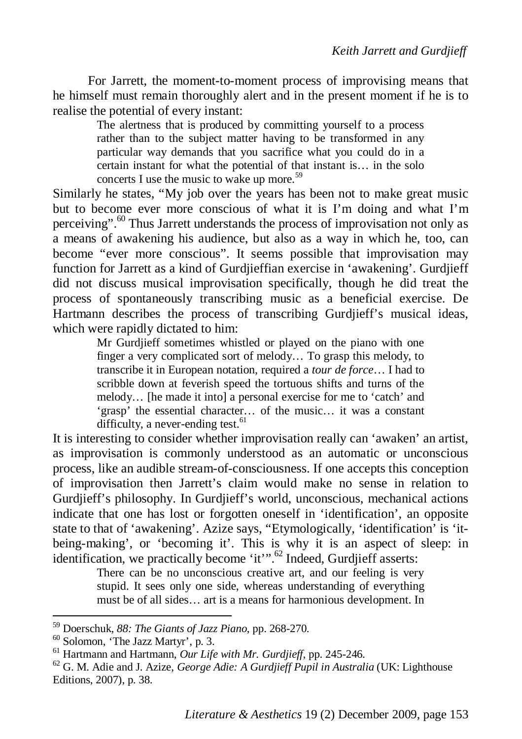For Jarrett, the moment-to-moment process of improvising means that he himself must remain thoroughly alert and in the present moment if he is to realise the potential of every instant:

> The alertness that is produced by committing yourself to a process rather than to the subject matter having to be transformed in any particular way demands that you sacrifice what you could do in a certain instant for what the potential of that instant is… in the solo concerts I use the music to wake up more. $59$

Similarly he states, "My job over the years has been not to make great music but to become ever more conscious of what it is I'm doing and what I'm perceiving".<sup>60</sup> Thus Jarrett understands the process of improvisation not only as a means of awakening his audience, but also as a way in which he, too, can become "ever more conscious". It seems possible that improvisation may function for Jarrett as a kind of Gurdjieffian exercise in 'awakening'. Gurdjieff did not discuss musical improvisation specifically, though he did treat the process of spontaneously transcribing music as a beneficial exercise. De Hartmann describes the process of transcribing Gurdjieff's musical ideas, which were rapidly dictated to him:

Mr Gurdjieff sometimes whistled or played on the piano with one finger a very complicated sort of melody… To grasp this melody, to transcribe it in European notation, required a *tour de force*… I had to scribble down at feverish speed the tortuous shifts and turns of the melody… [he made it into] a personal exercise for me to 'catch' and 'grasp' the essential character… of the music… it was a constant difficulty, a never-ending test. $61$ 

It is interesting to consider whether improvisation really can 'awaken' an artist, as improvisation is commonly understood as an automatic or unconscious process, like an audible stream-of-consciousness. If one accepts this conception of improvisation then Jarrett's claim would make no sense in relation to Gurdjieff's philosophy. In Gurdjieff's world, unconscious, mechanical actions indicate that one has lost or forgotten oneself in 'identification', an opposite state to that of 'awakening'. Azize says, "Etymologically, 'identification' is 'itbeing-making', or 'becoming it'. This is why it is an aspect of sleep: in identification, we practically become 'it'".<sup>62</sup> Indeed, Gurdjieff asserts:

There can be no unconscious creative art, and our feeling is very stupid. It sees only one side, whereas understanding of everything must be of all sides… art is a means for harmonious development. In

<sup>59</sup> Doerschuk, *88: The Giants of Jazz Piano*, pp. 268-270.

<sup>60</sup> Solomon, 'The Jazz Martyr', p. 3.

<sup>61</sup> Hartmann and Hartmann, *Our Life with Mr. Gurdjieff*, pp. 245-246.

<sup>62</sup> G. M. Adie and J. Azize, *George Adie: A Gurdjieff Pupil in Australia* (UK: Lighthouse Editions, 2007), p. 38.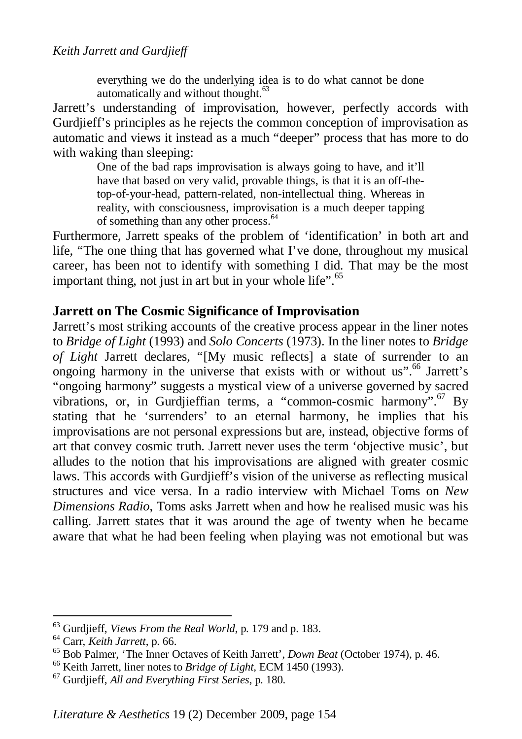everything we do the underlying idea is to do what cannot be done automatically and without thought.<sup>63</sup>

Jarrett's understanding of improvisation, however, perfectly accords with Gurdijeff's principles as he rejects the common conception of improvisation as automatic and views it instead as a much "deeper" process that has more to do with waking than sleeping:

> One of the bad raps improvisation is always going to have, and it'll have that based on very valid, provable things, is that it is an off-thetop-of-your-head, pattern-related, non-intellectual thing. Whereas in reality, with consciousness, improvisation is a much deeper tapping of something than any other process.<sup>64</sup>

Furthermore, Jarrett speaks of the problem of 'identification' in both art and life, "The one thing that has governed what I've done, throughout my musical career, has been not to identify with something I did. That may be the most important thing, not just in art but in your whole life". $65$ 

# **Jarrett on The Cosmic Significance of Improvisation**

Jarrett's most striking accounts of the creative process appear in the liner notes to *Bridge of Light* (1993) and *Solo Concerts* (1973). In the liner notes to *Bridge of Light* Jarrett declares, "[My music reflects] a state of surrender to an ongoing harmony in the universe that exists with or without us".<sup>66</sup> Jarrett's "ongoing harmony" suggests a mystical view of a universe governed by sacred vibrations, or, in Gurdjieffian terms, a "common-cosmic harmony".<sup>67</sup> By stating that he 'surrenders' to an eternal harmony, he implies that his improvisations are not personal expressions but are, instead, objective forms of art that convey cosmic truth. Jarrett never uses the term 'objective music', but alludes to the notion that his improvisations are aligned with greater cosmic laws. This accords with Gurdjieff's vision of the universe as reflecting musical structures and vice versa. In a radio interview with Michael Toms on *New Dimensions Radio*, Toms asks Jarrett when and how he realised music was his calling. Jarrett states that it was around the age of twenty when he became aware that what he had been feeling when playing was not emotional but was

<sup>63</sup> Gurdjieff, *Views From the Real World*, p. 179 and p. 183.

<sup>64</sup> Carr, *Keith Jarrett*, p. 66.

<sup>65</sup> Bob Palmer, 'The Inner Octaves of Keith Jarrett', *Down Beat* (October 1974), p. 46.

<sup>66</sup> Keith Jarrett, liner notes to *Bridge of Light,* ECM 1450 (1993).

<sup>67</sup> Gurdjieff, *All and Everything First Series*, p. 180.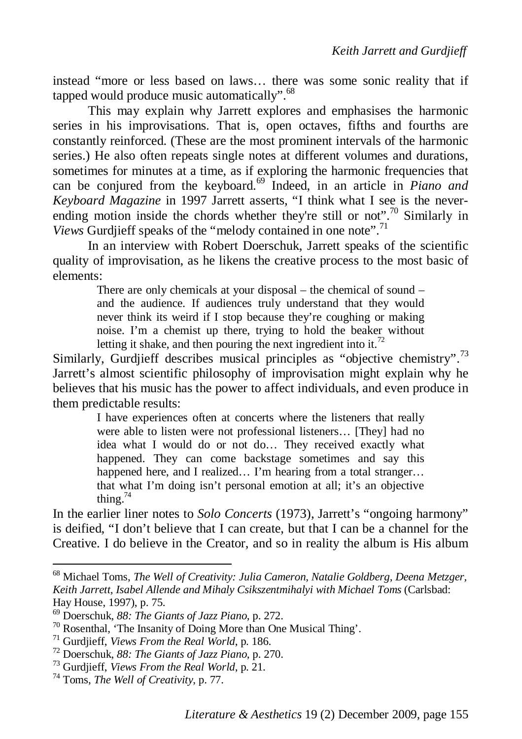instead "more or less based on laws… there was some sonic reality that if tapped would produce music automatically".  $68$ 

This may explain why Jarrett explores and emphasises the harmonic series in his improvisations. That is, open octaves, fifths and fourths are constantly reinforced. (These are the most prominent intervals of the harmonic series.) He also often repeats single notes at different volumes and durations, sometimes for minutes at a time, as if exploring the harmonic frequencies that can be conjured from the keyboard.<sup>69</sup> Indeed, in an article in *Piano and Keyboard Magazine* in 1997 Jarrett asserts, "I think what I see is the neverending motion inside the chords whether they're still or not".<sup>70</sup> Similarly in *Views* Gurdjieff speaks of the "melody contained in one note".<sup>71</sup>

In an interview with Robert Doerschuk, Jarrett speaks of the scientific quality of improvisation, as he likens the creative process to the most basic of elements:

> There are only chemicals at your disposal – the chemical of sound – and the audience. If audiences truly understand that they would never think its weird if I stop because they're coughing or making noise. I'm a chemist up there, trying to hold the beaker without letting it shake, and then pouring the next ingredient into it.<sup>72</sup>

Similarly, Gurdjieff describes musical principles as "objective chemistry".<sup>73</sup> Jarrett's almost scientific philosophy of improvisation might explain why he believes that his music has the power to affect individuals, and even produce in them predictable results:

> I have experiences often at concerts where the listeners that really were able to listen were not professional listeners… [They] had no idea what I would do or not do… They received exactly what happened. They can come backstage sometimes and say this happened here, and I realized... I'm hearing from a total stranger... that what I'm doing isn't personal emotion at all; it's an objective thing. $74$

In the earlier liner notes to *Solo Concerts* (1973), Jarrett's "ongoing harmony" is deified, "I don't believe that I can create, but that I can be a channel for the Creative. I do believe in the Creator, and so in reality the album is His album

<sup>68</sup> Michael Toms, *The Well of Creativity: Julia Cameron, Natalie Goldberg, Deena Metzger, Keith Jarrett, Isabel Allende and Mihaly Csikszentmihalyi with Michael Toms* (Carlsbad: Hay House, 1997), p. 75.

<sup>69</sup> Doerschuk, *88: The Giants of Jazz Piano*, p. 272.

<sup>70</sup> Rosenthal, 'The Insanity of Doing More than One Musical Thing'.

<sup>71</sup> Gurdjieff, *Views From the Real World*, p. 186.

<sup>72</sup> Doerschuk, *88: The Giants of Jazz Piano*, p. 270.

<sup>73</sup> Gurdjieff, *Views From the Real World*, p. 21.

<sup>74</sup> Toms, *The Well of Creativity*, p. 77.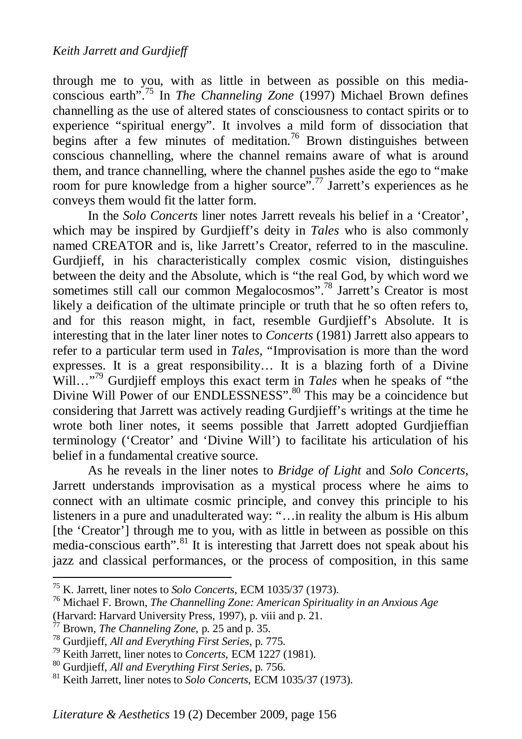through me to you, with as little in between as possible on this mediaconscious earth".<sup>75</sup> In *The Channeling Zone* (1997) Michael Brown defines channelling as the use of altered states of consciousness to contact spirits or to experience "spiritual energy". It involves a mild form of dissociation that begins after a few minutes of meditation.<sup>76</sup> Brown distinguishes between conscious channelling, where the channel remains aware of what is around them, and trance channelling, where the channel pushes aside the ego to "make room for pure knowledge from a higher source".<sup>77</sup> Jarrett's experiences as he conveys them would fit the latter form.

In the *Solo Concerts* liner notes Jarrett reveals his belief in a 'Creator', which may be inspired by Gurdiieff's deity in *Tales* who is also commonly named CREATOR and is, like Jarrett's Creator, referred to in the masculine. Gurdjieff, in his characteristically complex cosmic vision, distinguishes between the deity and the Absolute, which is "the real God, by which word we sometimes still call our common Megalocosmos".<sup>78</sup> Jarrett's Creator is most likely a deification of the ultimate principle or truth that he so often refers to, and for this reason might, in fact, resemble Gurdjieff's Absolute. It is interesting that in the later liner notes to *Concerts* (1981) Jarrett also appears to refer to a particular term used in *Tales*, "Improvisation is more than the word expresses. It is a great responsibility… It is a blazing forth of a Divine Will…"<sup>79</sup> Gurdjieff employs this exact term in *Tales* when he speaks of "the Divine Will Power of our ENDLESSNESS".<sup>80</sup> This may be a coincidence but considering that Jarrett was actively reading Gurdjieff's writings at the time he wrote both liner notes, it seems possible that Jarrett adopted Gurdjieffian terminology ('Creator' and 'Divine Will') to facilitate his articulation of his belief in a fundamental creative source.

As he reveals in the liner notes to *Bridge of Light* and *Solo Concerts*, Jarrett understands improvisation as a mystical process where he aims to connect with an ultimate cosmic principle, and convey this principle to his listeners in a pure and unadulterated way: "…in reality the album is His album [the 'Creator'] through me to you, with as little in between as possible on this media-conscious earth".<sup>81</sup> It is interesting that Jarrett does not speak about his jazz and classical performances, or the process of composition, in this same

<sup>75</sup> K. Jarrett, liner notes to *Solo Concerts*, ECM 1035/37 (1973).

<sup>76</sup> Michael F. Brown, *The Channelling Zone: American Spirituality in an Anxious Age* (Harvard: Harvard University Press, 1997), p. viii and p. 21.<br> $^{77}$  Brown. The Channel is a contract of the contract of the contract of the contract of the contract of the contract of the contract of the contract of the

Brown, *The Channeling Zone*, p. 25 and p. 35.

<sup>78</sup> Gurdjieff, *All and Everything First Series*, p. 775.

<sup>79</sup> Keith Jarrett, liner notes to *Concerts*, ECM 1227 (1981).

<sup>80</sup> Gurdjieff, *All and Everything First Series*, p. 756.

<sup>81</sup> Keith Jarrett, liner notes to *Solo Concerts*, ECM 1035/37 (1973).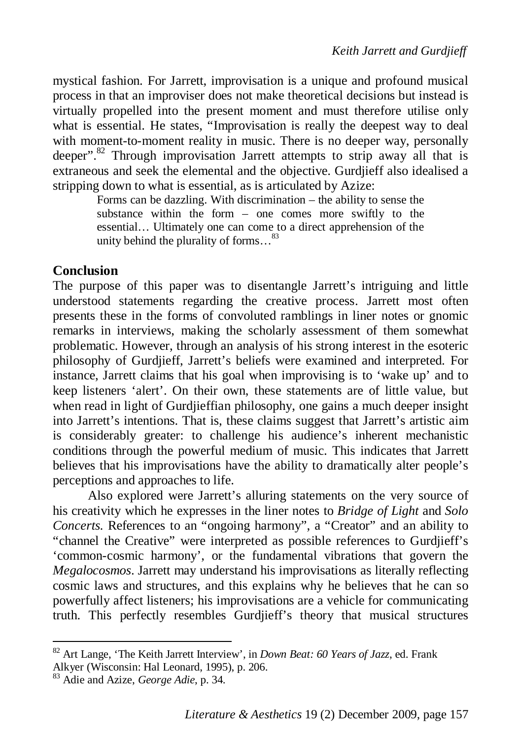mystical fashion. For Jarrett, improvisation is a unique and profound musical process in that an improviser does not make theoretical decisions but instead is virtually propelled into the present moment and must therefore utilise only what is essential. He states, "Improvisation is really the deepest way to deal with moment-to-moment reality in music. There is no deeper way, personally deeper".<sup>82</sup> Through improvisation Jarrett attempts to strip away all that is extraneous and seek the elemental and the objective. Gurdjieff also idealised a stripping down to what is essential, as is articulated by Azize:

Forms can be dazzling. With discrimination – the ability to sense the substance within the form – one comes more swiftly to the essential… Ultimately one can come to a direct apprehension of the unity behind the plurality of forms...<sup>83</sup>

# **Conclusion**

The purpose of this paper was to disentangle Jarrett's intriguing and little understood statements regarding the creative process. Jarrett most often presents these in the forms of convoluted ramblings in liner notes or gnomic remarks in interviews, making the scholarly assessment of them somewhat problematic. However, through an analysis of his strong interest in the esoteric philosophy of Gurdjieff, Jarrett's beliefs were examined and interpreted. For instance, Jarrett claims that his goal when improvising is to 'wake up' and to keep listeners 'alert'. On their own, these statements are of little value, but when read in light of Gurdjieffian philosophy, one gains a much deeper insight into Jarrett's intentions. That is, these claims suggest that Jarrett's artistic aim is considerably greater: to challenge his audience's inherent mechanistic conditions through the powerful medium of music. This indicates that Jarrett believes that his improvisations have the ability to dramatically alter people's perceptions and approaches to life.

Also explored were Jarrett's alluring statements on the very source of his creativity which he expresses in the liner notes to *Bridge of Light* and *Solo Concerts.* References to an "ongoing harmony", a "Creator" and an ability to "channel the Creative" were interpreted as possible references to Gurdjieff's 'common-cosmic harmony', or the fundamental vibrations that govern the *Megalocosmos*. Jarrett may understand his improvisations as literally reflecting cosmic laws and structures, and this explains why he believes that he can so powerfully affect listeners; his improvisations are a vehicle for communicating truth. This perfectly resembles Gurdjieff's theory that musical structures

<sup>82</sup> Art Lange, 'The Keith Jarrett Interview', in *Down Beat: 60 Years of Jazz*, ed. Frank Alkyer (Wisconsin: Hal Leonard, 1995), p. 206.

<sup>83</sup> Adie and Azize, *George Adie*, p. 34.